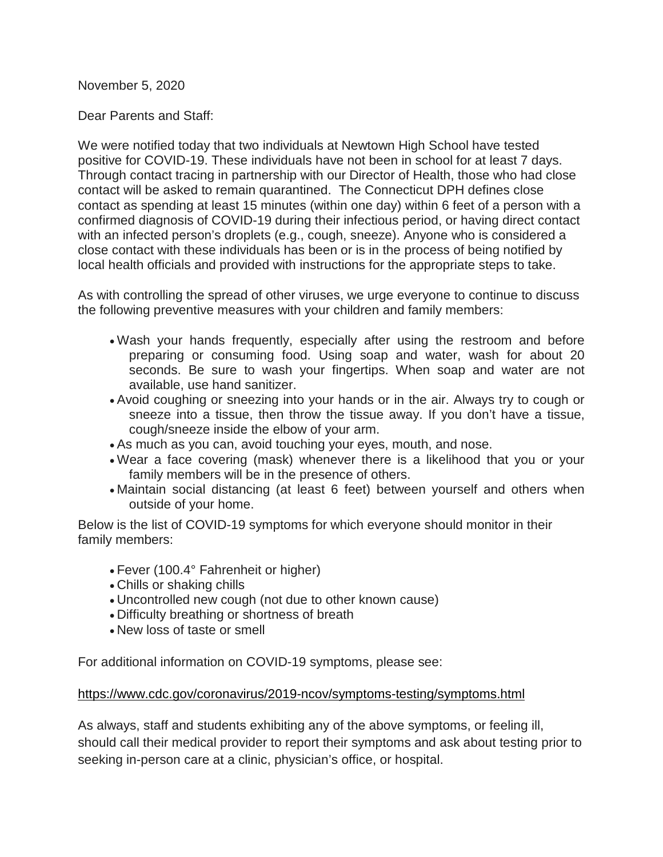November 5, 2020

Dear Parents and Staff:

We were notified today that two individuals at Newtown High School have tested positive for COVID-19. These individuals have not been in school for at least 7 days. Through contact tracing in partnership with our Director of Health, those who had close contact will be asked to remain quarantined. The Connecticut DPH defines close contact as spending at least 15 minutes (within one day) within 6 feet of a person with a confirmed diagnosis of COVID-19 during their infectious period, or having direct contact with an infected person's droplets (e.g., cough, sneeze). Anyone who is considered a close contact with these individuals has been or is in the process of being notified by local health officials and provided with instructions for the appropriate steps to take.

As with controlling the spread of other viruses, we urge everyone to continue to discuss the following preventive measures with your children and family members:

- Wash your hands frequently, especially after using the restroom and before preparing or consuming food. Using soap and water, wash for about 20 seconds. Be sure to wash your fingertips. When soap and water are not available, use hand sanitizer.
- Avoid coughing or sneezing into your hands or in the air. Always try to cough or sneeze into a tissue, then throw the tissue away. If you don't have a tissue, cough/sneeze inside the elbow of your arm.
- As much as you can, avoid touching your eyes, mouth, and nose.
- Wear a face covering (mask) whenever there is a likelihood that you or your family members will be in the presence of others.
- Maintain social distancing (at least 6 feet) between yourself and others when outside of your home.

Below is the list of COVID-19 symptoms for which everyone should monitor in their family members:

- Fever (100.4° Fahrenheit or higher)
- Chills or shaking chills
- Uncontrolled new cough (not due to other known cause)
- Difficulty breathing or shortness of breath
- New loss of taste or smell

For additional information on COVID-19 symptoms, please see:

## [https://www.cdc.gov/coronavirus/2019-ncov/symptoms-testing/symptoms.html](http://track.spe.schoolmessenger.com/f/a/-3OTHvAD7whEaCedwa1Ugg%7E%7E/AAAAAQA%7E/RgRhhY3wP4QDAWh0dHA6Ly90cmFjay5zcGUuc2Nob29sbWVzc2VuZ2VyLmNvbS9mL2EvdzJOdnBFbDFYc2hldnVZZ2xZcTRjd35-L0FBQUFBUUF-L1JnUmhRajlEUDBSSWFIUjBjSE02THk5M2QzY3VZMlJqTG1kdmRpOWpiM0p2Ym1GMmFYSjFjeTh5TURFNUxXNWpiM1l2YzNsdGNIUnZiWE10ZEdWemRHbHVaeTl6ZVcxd2RHOXRjeTVvZEcxc1Z3ZHpZMmh2YjJ4dFFnb0FSc01MWVZfX1JFeVJVaHR5YjJSeWFXZDFaV3hBYm1WM2RHOTNiaTVyTVRJdVkzUXVkWE5ZQkFBQUFBRX5XB3NjaG9vbG1CCgBGcFqkXyNSFulSGW1vcnJpc2pAbmV3dG93bi5rMTIuY3QudXNYBAAAAAE%7E)

As always, staff and students exhibiting any of the above symptoms, or feeling ill, should call their medical provider to report their symptoms and ask about testing prior to seeking in-person care at a clinic, physician's office, or hospital.